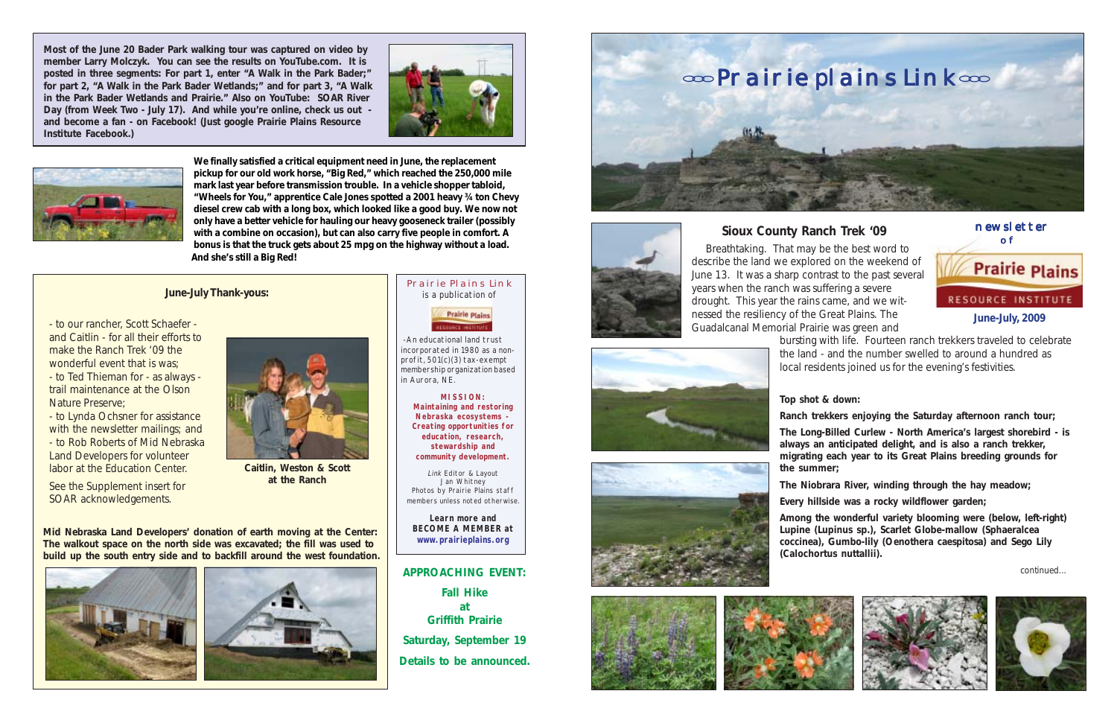**June-July, 2009**

 newsletter of **Prairie Plains RESOURCE INSTITUTE** 



Prairie Plains Link is a publication of



 -An educational land trust incorporated in 1980 as a nonprofit, 501(c)(3) tax-exempt membership organization based in Aurora, NE.

> **MISSION: Maintaining and restoring Nebraska ecosystems - Creating opportunities for education, research, stewardship and community development.**

Link Editor & Layout Jan Whitney Photos by Prairie Plains staff members unless noted otherwise.

**Learn more and BECOME A MEMBER at www.prairieplains.org**

# **Sioux County Ranch Trek '09**

 Breathtaking. That may be the best word to describe the land we explored on the weekend of June 13. It was a sharp contrast to the past several years when the ranch was suffering a severe drought. This year the rains came, and we witnessed the resiliency of the Great Plains. The Guadalcanal Memorial Prairie was green and









bursting with life. Fourteen ranch trekkers traveled to celebrate the land - and the number swelled to around a hundred as local residents joined us for the evening's festivities.

### **Top shot & down:**

**Ranch trekkers enjoying the Saturday afternoon ranch tour;**

**The Long-Billed Curlew - North America's largest shorebird - is always an anticipated delight, and is also a ranch trekker, migrating each year to its Great Plains breeding grounds for the summer;**

**The Niobrara River, winding through the hay meadow;**

**Every hillside was a rocky wildflower garden;**

**Among the wonderful variety blooming were (below, left-right) Lupine (***Lupinus* **sp.), Scarlet Globe-mallow (***Sphaeralcea coccinea***), Gumbo-lily (***Oenothera caespitosa***) and Sego Lily (***Calochortus nuttallii***).**

continued...





#### **June-July Thank-yous:**

- to our rancher, Scott Schaefer and Caitlin - for all their efforts to make the Ranch Trek '09 the wonderful event that is was; - to Ted Thieman for - as always trail maintenance at the Olson

Nature Preserve; - to Lynda Ochsner for assistance with the newsletter mailings; and - to Rob Roberts of Mid Nebraska Land Developers for volunteer labor at the Education Center.

See the Supplement insert for SOAR acknowledgements.

**We finally satisfied a critical equipment need in June, the replacement pickup for our old work horse, "Big Red," which reached the 250,000 mile mark last year before transmission trouble. In a vehicle shopper tabloid, "Wheels for You," apprentice Cale Jones spotted a 2001 heavy ¾ ton Chevy diesel crew cab with a long box, which looked like a good buy. We now not only have a better vehicle for hauling our heavy gooseneck trailer (possibly with a combine on occasion), but can also carry five people in comfort. A bonus is that the truck gets about 25 mpg on the highway without a load. And she's still a Big Red!**

**Mid Nebraska Land Developers' donation of earth moving at the Center: The walkout space on the north side was excavated; the fill was used to build up the south entry side and to backfill around the west foundation.**







**Caitlin, Weston & Scott at the Ranch**

**Most of the June 20 Bader Park walking tour was captured on video by member Larry Molczyk. You can see the results on YouTube.com. It is posted in three segments: For part 1, enter "A Walk in the Park Bader;" for part 2, "A Walk in the Park Bader Wetlands;" and for part 3, "A Walk in the Park Bader Wetlands and Prairie." Also on YouTube: SOAR River Day (from Week Two - July 17). And while you're online, check us out and become a fan - on Facebook! (Just google Prairie Plains Resource Institute Facebook.)**





## **APPROACHING EVENT:**

**Fall Hike at Griffith Prairie Saturday, September 19 Details to be announced.**